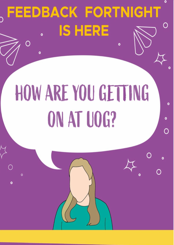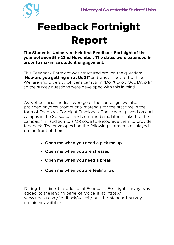

# **Feedback Fortnight Report**

**The Students' Union ran their first Feedback Fortnight of the year between 5th-22nd November. The dates were extended in order to maximise student engagement.** 

This Feedback Fortnight was structured around the question: **'How are you getting on at UoG?'** and was associated with our Welfare and Diversity Officer's campaign "Don't Drop Out, Drop In" so the survey questions were developed with this in mind.

As well as social media coverage of the campaign, we also provided physical promotional materials for the first time in the form of Feedback Fortnight Envelopes. These were placed on each campus in the SU spaces and contained small items linked to the campaign, in addition to a QR code to encourage them to provide feedback. The envelopes had the following statments displayed on the front of them:

- **Open me when you need a pick me up**
- **Open me when you are stressed**
- **Open me when you need a break**
- **Open me when you are feeling low**

During this time the additional Feedback Fortnight survey was added to the landing page of Voice it at https:// www.uogsu.com/feedback/voiceit/ but the standard survey remained available.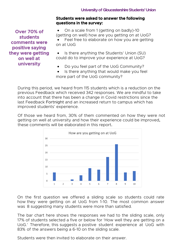#### **Students were asked to answer the following questions in the survey:**

**Over 70% of students comments were positive saying they were getting on well at university** 

• On a scale from 1 (getting on badly)-10 (getting on well) how are you getting on at UoG? Feel free to elaborate on how you are getting on at UoG

Is there anything the Students' Union (SU) could do to improve your experience at UoG?

- Do you feel part of the UoG Community?
- Is there anything that would make you feel more part of the UoG community?

During this period, we heard from 115 students which is a reduction on the previous Feedback which received 342 responses. We are mindful to take into account that there has been a change in Covid restrictions since the last Feedback Fortnight and an increased return to campus which has improved students' experience.

Of those we heard from, 30% of them commented on how they were not getting on well at university and how their experience could be improved, these comments will be elaborated in this report.



On the first question we offered a sliding scale so students could rate how they were getting on at UoG from 1-10. The most common answer was 8 suggesting many students were more than satisfied.

The bar chart here shows the responses we had to the sliding scale, only 17% of students selected a five or below for 'How well they are getting on a UoG.' Therefore, this suggests a postive student experience at UoG with 83% of the answers being a 6-10 on the sliding scale.

Students were then invited to elaborate on their answer.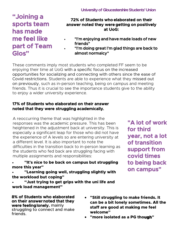**"Joining a sports team has made me feel like part of Team Glos"** 

### **72% of Students who elaborated on their answer noted they were getting on positively at UoG:**

- **•** "I'm enjoying and have made loads of new friends"
- **•** "I'm doing great I'm glad things are back to almost normalcy"

These comments imply most students who completed FF seem to be enjoying their time at UoG with a specific focus on the increased opportunities for socializing and connecting with others since the ease of Covid restrictions. Students are able to experience what they missed out on previously, such as in-person teaching, being on campus and meeting friends. Thus it is crucial to see the importance students give to the ability to enjoy a wider university experience.

### **17% of Students who elaborated on their answer noted that they were struggling academically.**

A reoccurring theme that was highlighted in the responses was the academic pressure. This has been heightened in the adjustment back at university. This is especially a significant leap for those who did not have the experience of A levels so are entering university at a different level. It is also important to note the difficulties in the transition back to in-person learning as the students who fed back are struggling facing with multiple assignments and responsibilities:

- **"It's nice to be back on campus but struggling more this year"**
- **"Learning going well, struggling slightly with the workload but coping"**
- **"Just trying to get grips with the uni life and work load management"**

**8% of Students who elaborated on their answer noted that they were feeling lonely,** mainly struggling to connect and make friends.

- **"Still struggling to make friends. It can be a bit lonely sometimes. All the staff are good at making me feel welcome"**
- **"more isolated as a PG though"**

**"A lot of work for third year, not a lot of transition support from covid times to being back on campus"**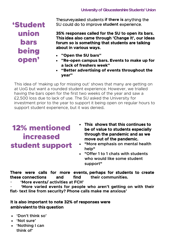### 'Student union bars being open'

The surveya sked students **if there is** anything the SU could do to improve **student** experience.

**35% responses called for the SU to open its bars. This idea also came through 'Change It', our Ideas forum so is something that students are talking about in various ways.**

- **"Open the SU bars"**
- **"Re-open campus bars. Events to make up for a lack of freshers week"**
- **"Better advertising of events throughout the year"**

This idea of 'making up for missing out' shows that many are getting on at UoG but want a rounded student experience. However, we trialled having the bars open for the first two weeks of the year and saw a £2,500 loss due to lack of use. The SU asked the University for investment prior to the year to support it being open on regular hours to support student experience, but it was denied.

## 12% mentioned increased student support

- **This shows that this continues to be of value to students especially through the pandemic and as we move out of the pandemic.**
- **"More emphasis on mental health help"**
- **"Offer 1 to 1 chats with students who would like some student support"**

### **There were calls for more events, perhaps for students to create these connections and find their communities.**

• **'More events/ activities at FCH'**

• **'More varied events for people who aren't getting on with their flat- text line from security? Phone calls make me anxious'**

### **It is also important to note 32% of responses were ambivalent to this question**

- **'Don't think so'**
- **'Not sure'**
- **'Nothing I can think of'**